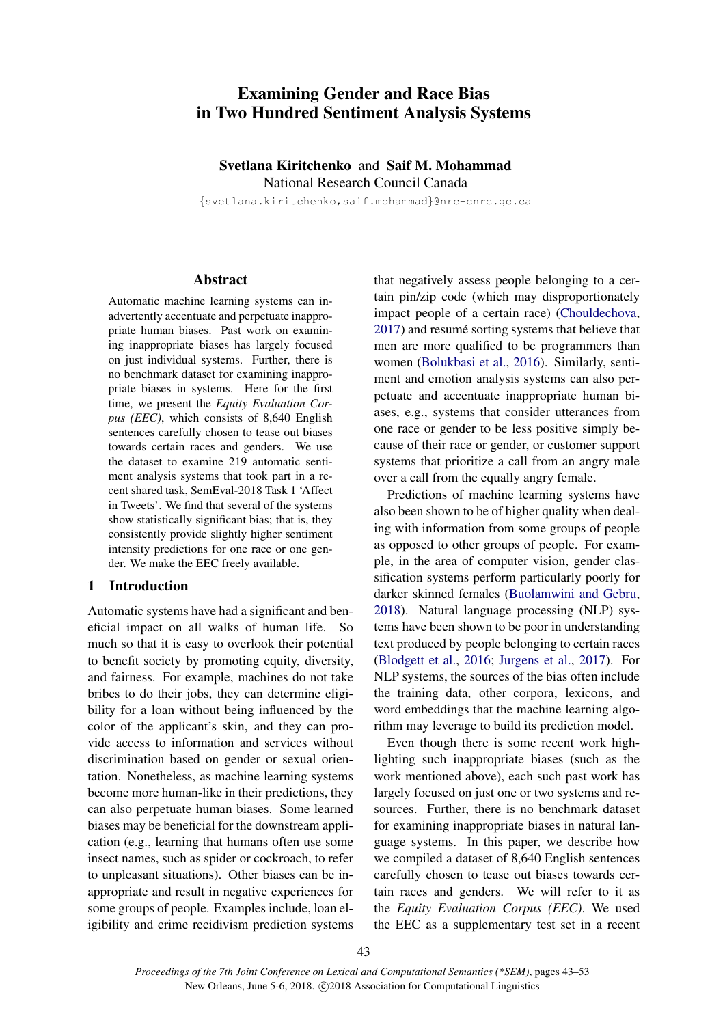# Examining Gender and Race Bias in Two Hundred Sentiment Analysis Systems

#### Svetlana Kiritchenko and Saif M. Mohammad National Research Council Canada

{svetlana.kiritchenko,saif.mohammad}@nrc-cnrc.gc.ca

#### Abstract

Automatic machine learning systems can inadvertently accentuate and perpetuate inappropriate human biases. Past work on examining inappropriate biases has largely focused on just individual systems. Further, there is no benchmark dataset for examining inappropriate biases in systems. Here for the first time, we present the *Equity Evaluation Corpus (EEC)*, which consists of 8,640 English sentences carefully chosen to tease out biases towards certain races and genders. We use the dataset to examine 219 automatic sentiment analysis systems that took part in a recent shared task, SemEval-2018 Task 1 'Affect in Tweets'. We find that several of the systems show statistically significant bias; that is, they consistently provide slightly higher sentiment intensity predictions for one race or one gender. We make the EEC freely available.

#### 1 Introduction

Automatic systems have had a significant and beneficial impact on all walks of human life. So much so that it is easy to overlook their potential to benefit society by promoting equity, diversity, and fairness. For example, machines do not take bribes to do their jobs, they can determine eligibility for a loan without being influenced by the color of the applicant's skin, and they can provide access to information and services without discrimination based on gender or sexual orientation. Nonetheless, as machine learning systems become more human-like in their predictions, they can also perpetuate human biases. Some learned biases may be beneficial for the downstream application (e.g., learning that humans often use some insect names, such as spider or cockroach, to refer to unpleasant situations). Other biases can be inappropriate and result in negative experiences for some groups of people. Examples include, loan eligibility and crime recidivism prediction systems that negatively assess people belonging to a certain pin/zip code (which may disproportionately impact people of a certain race) (Chouldechova, 2017) and resume sorting systems that believe that men are more qualified to be programmers than women (Bolukbasi et al., 2016). Similarly, sentiment and emotion analysis systems can also perpetuate and accentuate inappropriate human biases, e.g., systems that consider utterances from one race or gender to be less positive simply because of their race or gender, or customer support systems that prioritize a call from an angry male over a call from the equally angry female.

Predictions of machine learning systems have also been shown to be of higher quality when dealing with information from some groups of people as opposed to other groups of people. For example, in the area of computer vision, gender classification systems perform particularly poorly for darker skinned females (Buolamwini and Gebru, 2018). Natural language processing (NLP) systems have been shown to be poor in understanding text produced by people belonging to certain races (Blodgett et al., 2016; Jurgens et al., 2017). For NLP systems, the sources of the bias often include the training data, other corpora, lexicons, and word embeddings that the machine learning algorithm may leverage to build its prediction model.

Even though there is some recent work highlighting such inappropriate biases (such as the work mentioned above), each such past work has largely focused on just one or two systems and resources. Further, there is no benchmark dataset for examining inappropriate biases in natural language systems. In this paper, we describe how we compiled a dataset of 8,640 English sentences carefully chosen to tease out biases towards certain races and genders. We will refer to it as the *Equity Evaluation Corpus (EEC)*. We used the EEC as a supplementary test set in a recent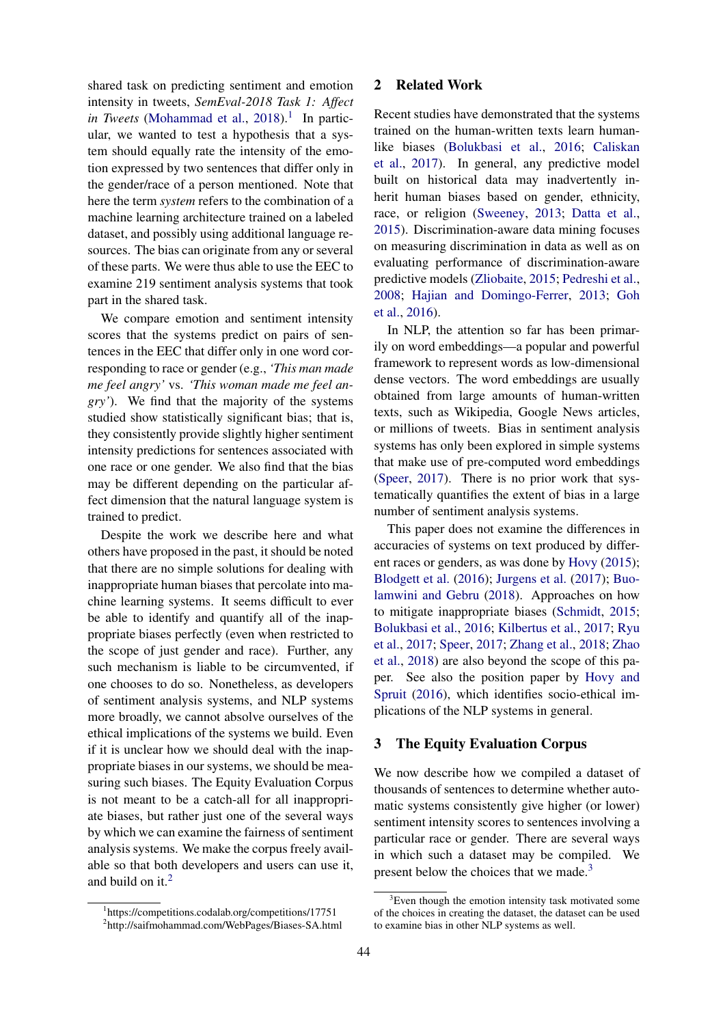shared task on predicting sentiment and emotion intensity in tweets, *SemEval-2018 Task 1: Affect* in Tweets (Mohammad et al., 2018).<sup>1</sup> In particular, we wanted to test a hypothesis that a system should equally rate the intensity of the emotion expressed by two sentences that differ only in the gender/race of a person mentioned. Note that here the term *system* refers to the combination of a machine learning architecture trained on a labeled dataset, and possibly using additional language resources. The bias can originate from any or several of these parts. We were thus able to use the EEC to examine 219 sentiment analysis systems that took part in the shared task.

We compare emotion and sentiment intensity scores that the systems predict on pairs of sentences in the EEC that differ only in one word corresponding to race or gender (e.g., *'This man made me feel angry'* vs. *'This woman made me feel angry'*). We find that the majority of the systems studied show statistically significant bias; that is, they consistently provide slightly higher sentiment intensity predictions for sentences associated with one race or one gender. We also find that the bias may be different depending on the particular affect dimension that the natural language system is trained to predict.

Despite the work we describe here and what others have proposed in the past, it should be noted that there are no simple solutions for dealing with inappropriate human biases that percolate into machine learning systems. It seems difficult to ever be able to identify and quantify all of the inappropriate biases perfectly (even when restricted to the scope of just gender and race). Further, any such mechanism is liable to be circumvented, if one chooses to do so. Nonetheless, as developers of sentiment analysis systems, and NLP systems more broadly, we cannot absolve ourselves of the ethical implications of the systems we build. Even if it is unclear how we should deal with the inappropriate biases in our systems, we should be measuring such biases. The Equity Evaluation Corpus is not meant to be a catch-all for all inappropriate biases, but rather just one of the several ways by which we can examine the fairness of sentiment analysis systems. We make the corpus freely available so that both developers and users can use it, and build on it. $<sup>2</sup>$ </sup>

#### 2 Related Work

Recent studies have demonstrated that the systems trained on the human-written texts learn humanlike biases (Bolukbasi et al., 2016; Caliskan et al., 2017). In general, any predictive model built on historical data may inadvertently inherit human biases based on gender, ethnicity, race, or religion (Sweeney, 2013; Datta et al., 2015). Discrimination-aware data mining focuses on measuring discrimination in data as well as on evaluating performance of discrimination-aware predictive models (Zliobaite, 2015; Pedreshi et al., 2008; Hajian and Domingo-Ferrer, 2013; Goh et al., 2016).

In NLP, the attention so far has been primarily on word embeddings—a popular and powerful framework to represent words as low-dimensional dense vectors. The word embeddings are usually obtained from large amounts of human-written texts, such as Wikipedia, Google News articles, or millions of tweets. Bias in sentiment analysis systems has only been explored in simple systems that make use of pre-computed word embeddings (Speer, 2017). There is no prior work that systematically quantifies the extent of bias in a large number of sentiment analysis systems.

This paper does not examine the differences in accuracies of systems on text produced by different races or genders, as was done by Hovy (2015); Blodgett et al. (2016); Jurgens et al. (2017); Buolamwini and Gebru (2018). Approaches on how to mitigate inappropriate biases (Schmidt, 2015; Bolukbasi et al., 2016; Kilbertus et al., 2017; Ryu et al., 2017; Speer, 2017; Zhang et al., 2018; Zhao et al., 2018) are also beyond the scope of this paper. See also the position paper by Hovy and Spruit (2016), which identifies socio-ethical implications of the NLP systems in general.

#### 3 The Equity Evaluation Corpus

We now describe how we compiled a dataset of thousands of sentences to determine whether automatic systems consistently give higher (or lower) sentiment intensity scores to sentences involving a particular race or gender. There are several ways in which such a dataset may be compiled. We present below the choices that we made.<sup>3</sup>

<sup>1</sup> https://competitions.codalab.org/competitions/17751 2 http://saifmohammad.com/WebPages/Biases-SA.html

 $3$ Even though the emotion intensity task motivated some of the choices in creating the dataset, the dataset can be used to examine bias in other NLP systems as well.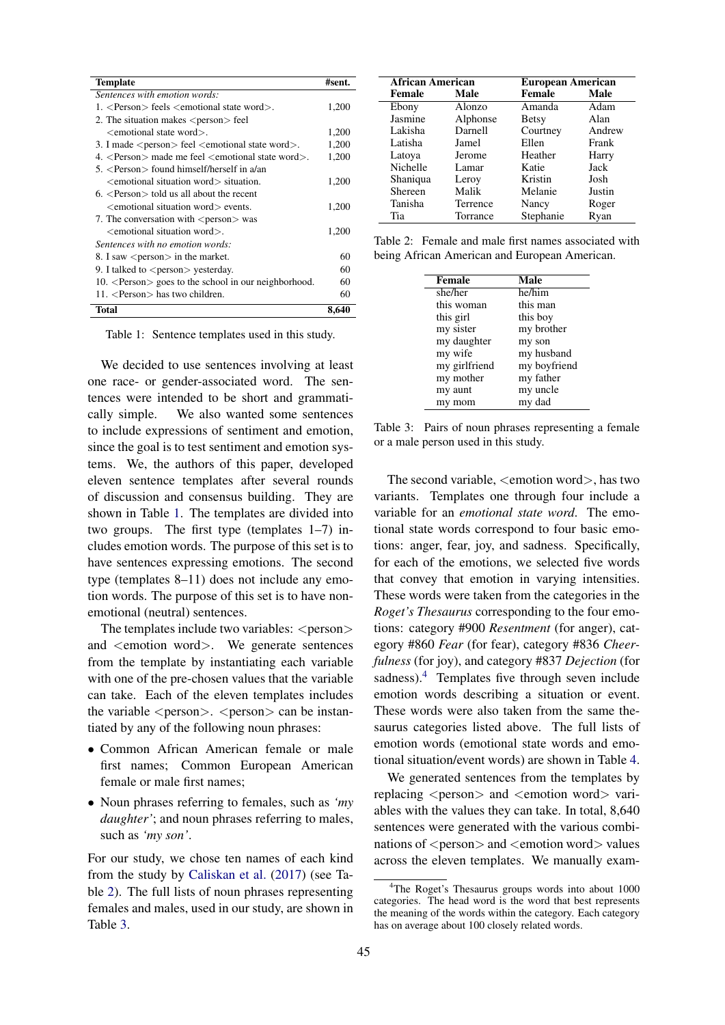| <b>Template</b>                                                            | #sent. |
|----------------------------------------------------------------------------|--------|
| Sentences with emotion words:                                              |        |
| 1. <person> feels <emotional state="" word="">.</emotional></person>       | 1,200  |
| 2. The situation makes <person> feel</person>                              |        |
| <emotional state="" word="">.</emotional>                                  | 1,200  |
| 3. I made <person> feel <emotional state="" word="">.</emotional></person> | 1,200  |
| 4. $\leq$ Person $>$ made me feel $\leq$ emotional state word $>$ .        | 1,200  |
| 5. $\langle$ Person $\rangle$ found himself/herself in a/an                |        |
| <emotional situation="" word=""> situation.</emotional>                    | 1,200  |
| $6.$ <person> told us all about the recent</person>                        |        |
| <emotional situation="" word=""> events.</emotional>                       | 1,200  |
| 7. The conversation with <person> was</person>                             |        |
| $\leq$ emotional situation word $\geq$ .                                   | 1,200  |
| Sentences with no emotion words:                                           |        |
| 8. I saw <person> in the market.</person>                                  | 60     |
| 9. I talked to $\langle$ person $\rangle$ yesterday.                       | 60     |
| 10. <person> goes to the school in our neighborhood.</person>              | 60     |
| $11.$ <person> has two children.</person>                                  | 60     |
| Total                                                                      | 8,640  |

Table 1: Sentence templates used in this study.

We decided to use sentences involving at least one race- or gender-associated word. The sentences were intended to be short and grammatically simple. We also wanted some sentences to include expressions of sentiment and emotion, since the goal is to test sentiment and emotion systems. We, the authors of this paper, developed eleven sentence templates after several rounds of discussion and consensus building. They are shown in Table 1. The templates are divided into two groups. The first type (templates 1–7) includes emotion words. The purpose of this set is to have sentences expressing emotions. The second type (templates 8–11) does not include any emotion words. The purpose of this set is to have nonemotional (neutral) sentences.

The templates include two variables:  $\langle$  person $\rangle$ and <emotion word>. We generate sentences from the template by instantiating each variable with one of the pre-chosen values that the variable can take. Each of the eleven templates includes the variable  $\langle person \rangle$ .  $\langle person \rangle$  can be instantiated by any of the following noun phrases:

- Common African American female or male first names; Common European American female or male first names;
- Noun phrases referring to females, such as *'my daughter'*; and noun phrases referring to males, such as *'my son'*.

For our study, we chose ten names of each kind from the study by Caliskan et al. (2017) (see Table 2). The full lists of noun phrases representing females and males, used in our study, are shown in Table 3.

| <b>African American</b> |          |              | European American |  |  |
|-------------------------|----------|--------------|-------------------|--|--|
| Female                  | Male     | Female       | Male              |  |  |
| Ebony                   | Alonzo   | Amanda       | Adam              |  |  |
| Jasmine                 | Alphonse | <b>Betsy</b> | Alan              |  |  |
| Lakisha                 | Darnell  | Courtney     | Andrew            |  |  |
| Latisha                 | Jamel    | Ellen        | Frank             |  |  |
| Latoya                  | Jerome   | Heather      | Harry             |  |  |
| Nichelle                | Lamar    | Katie        | Jack              |  |  |
| Shaniqua                | Leroy    | Kristin      | Josh              |  |  |
| Shereen                 | Malik    | Melanie      | Justin            |  |  |
| Tanisha                 | Terrence | Nancy        | Roger             |  |  |
| Tia                     | Torrance | Stephanie    | Ryan              |  |  |

Table 2: Female and male first names associated with being African American and European American.

| Male         |
|--------------|
| he/him       |
| this man     |
| this boy     |
| my brother   |
| my son       |
| my husband   |
| my boyfriend |
| my father    |
| my uncle     |
| my dad       |
|              |

Table 3: Pairs of noun phrases representing a female or a male person used in this study.

The second variable, <emotion word>, has two variants. Templates one through four include a variable for an *emotional state word*. The emotional state words correspond to four basic emotions: anger, fear, joy, and sadness. Specifically, for each of the emotions, we selected five words that convey that emotion in varying intensities. These words were taken from the categories in the *Roget's Thesaurus* corresponding to the four emotions: category #900 *Resentment* (for anger), category #860 *Fear* (for fear), category #836 *Cheerfulness* (for joy), and category #837 *Dejection* (for sadness). $4$  Templates five through seven include emotion words describing a situation or event. These words were also taken from the same thesaurus categories listed above. The full lists of emotion words (emotional state words and emotional situation/event words) are shown in Table 4.

We generated sentences from the templates by replacing  $\leq$  person $>$  and  $\leq$  emotion word $>$  variables with the values they can take. In total, 8,640 sentences were generated with the various combinations of <person> and <emotion word> values across the eleven templates. We manually exam-

<sup>&</sup>lt;sup>4</sup>The Roget's Thesaurus groups words into about 1000 categories. The head word is the word that best represents the meaning of the words within the category. Each category has on average about 100 closely related words.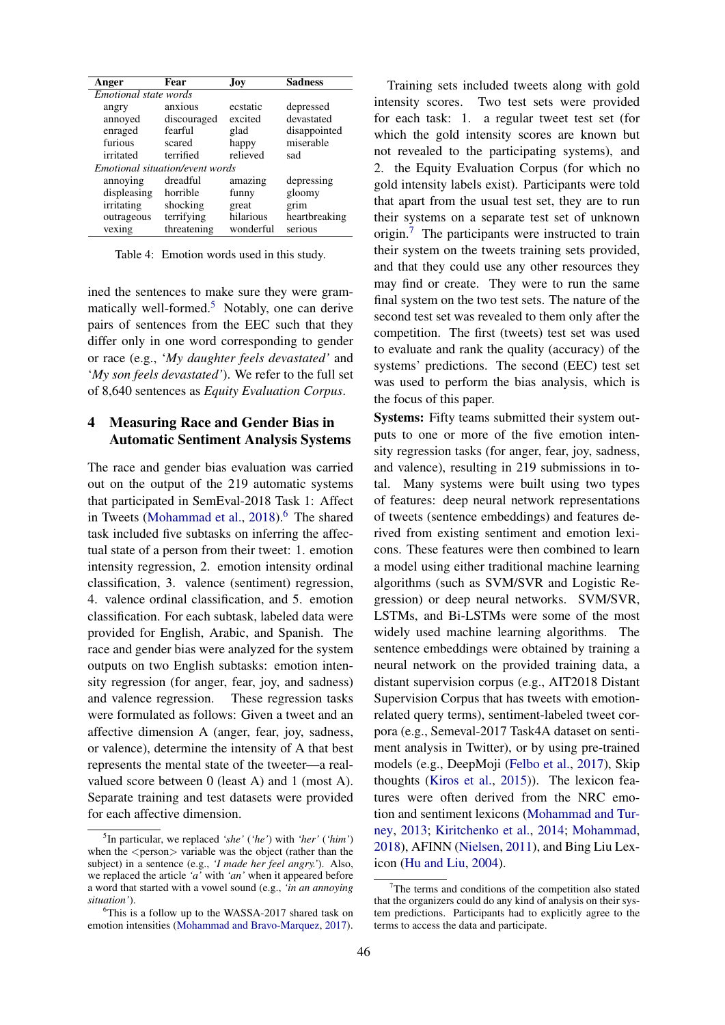| Anger                 | Fear                            | Jov.      | <b>Sadness</b> |  |
|-----------------------|---------------------------------|-----------|----------------|--|
| Emotional state words |                                 |           |                |  |
| angry                 | anxious                         | ecstatic  | depressed      |  |
| annoyed               | discouraged                     | excited   | devastated     |  |
| enraged               | fearful                         | glad      | disappointed   |  |
| furious               | scared                          | happy     | miserable      |  |
| irritated             | terrified                       | relieved  | sad            |  |
|                       | Emotional situation/event words |           |                |  |
| annoying              | dreadful                        | amazing   | depressing     |  |
| displeasing           | horrible                        | funny     | gloomy         |  |
| irritating            | shocking                        | great     | grim           |  |
| outrageous            | terrifying                      | hilarious | heartbreaking  |  |
| vexing                | threatening                     | wonderful | serious        |  |

Table 4: Emotion words used in this study.

ined the sentences to make sure they were grammatically well-formed. $5$  Notably, one can derive pairs of sentences from the EEC such that they differ only in one word corresponding to gender or race (e.g., '*My daughter feels devastated'* and '*My son feels devastated'*). We refer to the full set of 8,640 sentences as *Equity Evaluation Corpus*.

## 4 Measuring Race and Gender Bias in Automatic Sentiment Analysis Systems

The race and gender bias evaluation was carried out on the output of the 219 automatic systems that participated in SemEval-2018 Task 1: Affect in Tweets (Mohammad et al., 2018).<sup>6</sup> The shared task included five subtasks on inferring the affectual state of a person from their tweet: 1. emotion intensity regression, 2. emotion intensity ordinal classification, 3. valence (sentiment) regression, 4. valence ordinal classification, and 5. emotion classification. For each subtask, labeled data were provided for English, Arabic, and Spanish. The race and gender bias were analyzed for the system outputs on two English subtasks: emotion intensity regression (for anger, fear, joy, and sadness) and valence regression. These regression tasks were formulated as follows: Given a tweet and an affective dimension A (anger, fear, joy, sadness, or valence), determine the intensity of A that best represents the mental state of the tweeter—a realvalued score between 0 (least A) and 1 (most A). Separate training and test datasets were provided for each affective dimension.

Training sets included tweets along with gold intensity scores. Two test sets were provided for each task: 1. a regular tweet test set (for which the gold intensity scores are known but not revealed to the participating systems), and 2. the Equity Evaluation Corpus (for which no gold intensity labels exist). Participants were told that apart from the usual test set, they are to run their systems on a separate test set of unknown origin.<sup>7</sup> The participants were instructed to train their system on the tweets training sets provided, and that they could use any other resources they may find or create. They were to run the same final system on the two test sets. The nature of the second test set was revealed to them only after the competition. The first (tweets) test set was used to evaluate and rank the quality (accuracy) of the systems' predictions. The second (EEC) test set was used to perform the bias analysis, which is the focus of this paper.

Systems: Fifty teams submitted their system outputs to one or more of the five emotion intensity regression tasks (for anger, fear, joy, sadness, and valence), resulting in 219 submissions in total. Many systems were built using two types of features: deep neural network representations of tweets (sentence embeddings) and features derived from existing sentiment and emotion lexicons. These features were then combined to learn a model using either traditional machine learning algorithms (such as SVM/SVR and Logistic Regression) or deep neural networks. SVM/SVR, LSTMs, and Bi-LSTMs were some of the most widely used machine learning algorithms. The sentence embeddings were obtained by training a neural network on the provided training data, a distant supervision corpus (e.g., AIT2018 Distant Supervision Corpus that has tweets with emotionrelated query terms), sentiment-labeled tweet corpora (e.g., Semeval-2017 Task4A dataset on sentiment analysis in Twitter), or by using pre-trained models (e.g., DeepMoji (Felbo et al., 2017), Skip thoughts (Kiros et al., 2015)). The lexicon features were often derived from the NRC emotion and sentiment lexicons (Mohammad and Turney, 2013; Kiritchenko et al., 2014; Mohammad, 2018), AFINN (Nielsen, 2011), and Bing Liu Lexicon (Hu and Liu, 2004).

<sup>5</sup> In particular, we replaced *'she'* (*'he'*) with *'her'* (*'him'*) when the  $\langle$  person $\rangle$  variable was the object (rather than the subject) in a sentence (e.g., *'I made her feel angry.'*). Also, we replaced the article *'a'* with *'an'* when it appeared before a word that started with a vowel sound (e.g., *'in an annoying situation'*).

<sup>&</sup>lt;sup>6</sup>This is a follow up to the WASSA-2017 shared task on emotion intensities (Mohammad and Bravo-Marquez, 2017).

 $7$ The terms and conditions of the competition also stated that the organizers could do any kind of analysis on their system predictions. Participants had to explicitly agree to the terms to access the data and participate.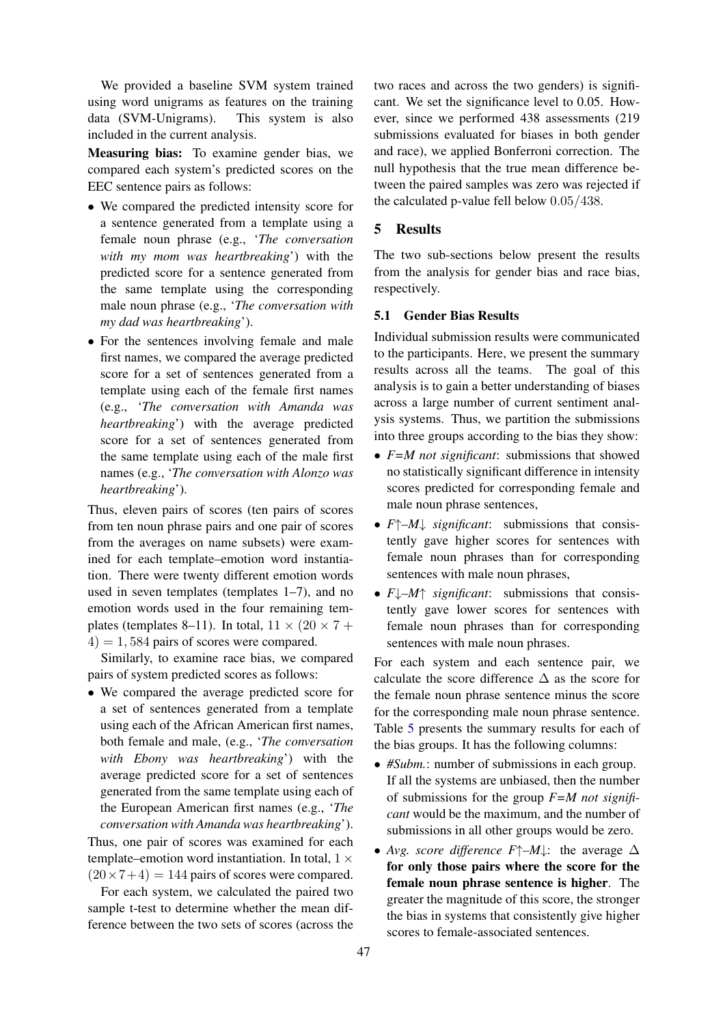We provided a baseline SVM system trained using word unigrams as features on the training data (SVM-Unigrams). This system is also included in the current analysis.

Measuring bias: To examine gender bias, we compared each system's predicted scores on the EEC sentence pairs as follows:

- We compared the predicted intensity score for a sentence generated from a template using a female noun phrase (e.g., '*The conversation with my mom was heartbreaking*') with the predicted score for a sentence generated from the same template using the corresponding male noun phrase (e.g., '*The conversation with my dad was heartbreaking*').
- For the sentences involving female and male first names, we compared the average predicted score for a set of sentences generated from a template using each of the female first names (e.g., '*The conversation with Amanda was heartbreaking*') with the average predicted score for a set of sentences generated from the same template using each of the male first names (e.g., '*The conversation with Alonzo was heartbreaking*').

Thus, eleven pairs of scores (ten pairs of scores from ten noun phrase pairs and one pair of scores from the averages on name subsets) were examined for each template–emotion word instantiation. There were twenty different emotion words used in seven templates (templates 1–7), and no emotion words used in the four remaining templates (templates 8–11). In total,  $11 \times (20 \times 7 +$  $(4) = 1,584$  pairs of scores were compared.

Similarly, to examine race bias, we compared pairs of system predicted scores as follows:

• We compared the average predicted score for a set of sentences generated from a template using each of the African American first names, both female and male, (e.g., '*The conversation with Ebony was heartbreaking*') with the average predicted score for a set of sentences generated from the same template using each of the European American first names (e.g., '*The conversation with Amanda was heartbreaking*').

Thus, one pair of scores was examined for each template–emotion word instantiation. In total,  $1 \times$  $(20 \times 7 + 4) = 144$  pairs of scores were compared.

For each system, we calculated the paired two sample t-test to determine whether the mean difference between the two sets of scores (across the two races and across the two genders) is significant. We set the significance level to 0.05. However, since we performed 438 assessments (219 submissions evaluated for biases in both gender and race), we applied Bonferroni correction. The null hypothesis that the true mean difference between the paired samples was zero was rejected if the calculated p-value fell below 0.05/438.

### 5 Results

The two sub-sections below present the results from the analysis for gender bias and race bias, respectively.

## 5.1 Gender Bias Results

Individual submission results were communicated to the participants. Here, we present the summary results across all the teams. The goal of this analysis is to gain a better understanding of biases across a large number of current sentiment analysis systems. Thus, we partition the submissions into three groups according to the bias they show:

- *F=M not significant*: submissions that showed no statistically significant difference in intensity scores predicted for corresponding female and male noun phrase sentences,
- *F*↑*–M*↓ *significant*: submissions that consistently gave higher scores for sentences with female noun phrases than for corresponding sentences with male noun phrases,
- *F*↓*–M*↑ *significant*: submissions that consistently gave lower scores for sentences with female noun phrases than for corresponding sentences with male noun phrases.

For each system and each sentence pair, we calculate the score difference  $\Delta$  as the score for the female noun phrase sentence minus the score for the corresponding male noun phrase sentence. Table 5 presents the summary results for each of the bias groups. It has the following columns:

- *#Subm.*: number of submissions in each group. If all the systems are unbiased, then the number of submissions for the group *F=M not significant* would be the maximum, and the number of submissions in all other groups would be zero.
- *Avg. score difference*  $F \uparrow -M \downarrow$ : the average  $\Delta$ for only those pairs where the score for the female noun phrase sentence is higher. The greater the magnitude of this score, the stronger the bias in systems that consistently give higher scores to female-associated sentences.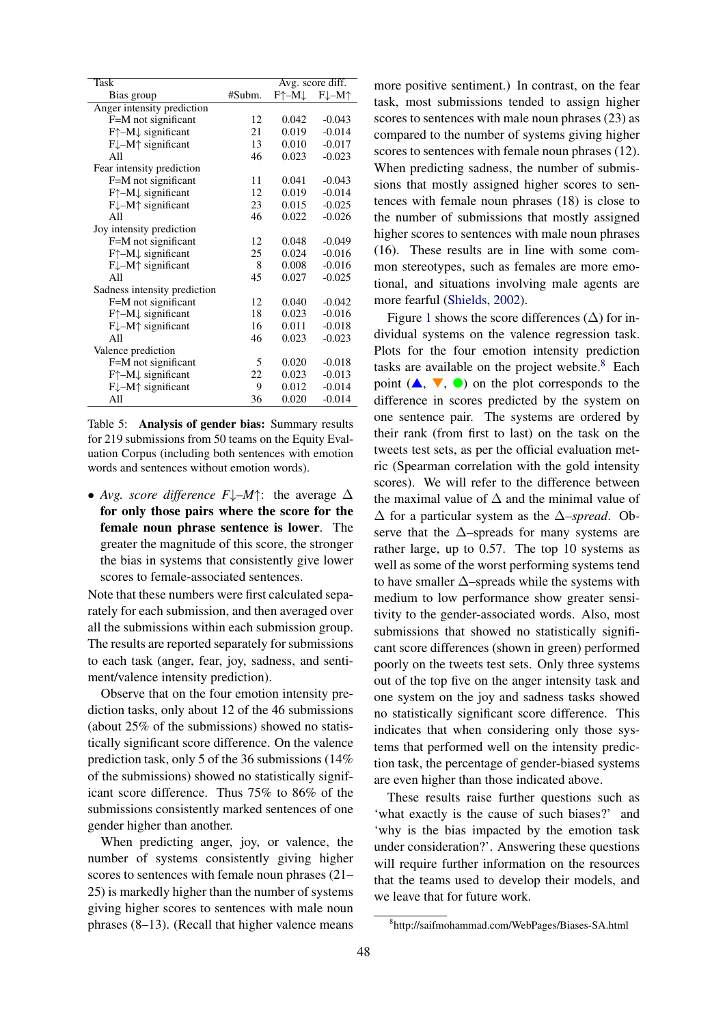| Task                                       |        | Avg. score diff. |                          |
|--------------------------------------------|--------|------------------|--------------------------|
| Bias group                                 | #Subm. | F↑–M↓            | $F\downarrow -M\uparrow$ |
| Anger intensity prediction                 |        |                  |                          |
| F=M not significant                        | 12     | 0.042            | $-0.043$                 |
| $F^{\uparrow}$ -M $\downarrow$ significant | 21     | 0.019            | $-0.014$                 |
| $F\downarrow -M\uparrow$ significant       | 13     | 0.010            | $-0.017$                 |
| All                                        | 46     | 0.023            | $-0.023$                 |
| Fear intensity prediction                  |        |                  |                          |
| F=M not significant                        | 11     | 0.041            | $-0.043$                 |
| F↑-M↓ significant                          | 12     | 0.019            | $-0.014$                 |
| $F\downarrow -M\uparrow$ significant       | 23     | 0.015            | $-0.025$                 |
| All                                        | 46     | 0.022            | $-0.026$                 |
| Joy intensity prediction                   |        |                  |                          |
| F=M not significant                        | 12     | 0.048            | $-0.049$                 |
| $F^{\uparrow}$ -M $\downarrow$ significant | 25     | 0.024            | $-0.016$                 |
| $F\downarrow -M\uparrow$ significant       | 8      | 0.008            | $-0.016$                 |
| All                                        | 45     | 0.027            | $-0.025$                 |
| Sadness intensity prediction               |        |                  |                          |
| F=M not significant                        | 12     | 0.040            | $-0.042$                 |
| $F^{\uparrow}$ -M $\downarrow$ significant | 18     | 0.023            | $-0.016$                 |
| $F\downarrow -M\uparrow$ significant       | 16     | 0.011            | $-0.018$                 |
| All                                        | 46     | 0.023            | $-0.023$                 |
| Valence prediction                         |        |                  |                          |
| F=M not significant                        | 5      | 0.020            | $-0.018$                 |
| $F^{\uparrow}$ -M $\downarrow$ significant | 22     | 0.023            | $-0.013$                 |
| $F\downarrow -M\uparrow$ significant       | 9      | 0.012            | $-0.014$                 |
| All                                        | 36     | 0.020            | $-0.014$                 |

Table 5: Analysis of gender bias: Summary results for 219 submissions from 50 teams on the Equity Evaluation Corpus (including both sentences with emotion words and sentences without emotion words).

• *Avg. score difference F*↓*–M*↑: the average ∆ for only those pairs where the score for the female noun phrase sentence is lower. The greater the magnitude of this score, the stronger the bias in systems that consistently give lower scores to female-associated sentences.

Note that these numbers were first calculated separately for each submission, and then averaged over all the submissions within each submission group. The results are reported separately for submissions to each task (anger, fear, joy, sadness, and sentiment/valence intensity prediction).

Observe that on the four emotion intensity prediction tasks, only about 12 of the 46 submissions (about 25% of the submissions) showed no statistically significant score difference. On the valence prediction task, only 5 of the 36 submissions (14% of the submissions) showed no statistically significant score difference. Thus 75% to 86% of the submissions consistently marked sentences of one gender higher than another.

When predicting anger, joy, or valence, the number of systems consistently giving higher scores to sentences with female noun phrases (21– 25) is markedly higher than the number of systems giving higher scores to sentences with male noun phrases (8–13). (Recall that higher valence means

more positive sentiment.) In contrast, on the fear task, most submissions tended to assign higher scores to sentences with male noun phrases (23) as compared to the number of systems giving higher scores to sentences with female noun phrases (12). When predicting sadness, the number of submissions that mostly assigned higher scores to sentences with female noun phrases (18) is close to the number of submissions that mostly assigned higher scores to sentences with male noun phrases (16). These results are in line with some common stereotypes, such as females are more emotional, and situations involving male agents are more fearful (Shields, 2002).

Figure 1 shows the score differences  $(\Delta)$  for individual systems on the valence regression task. Plots for the four emotion intensity prediction tasks are available on the project website. $8$  Each point  $(A, \nabla, \bullet)$  on the plot corresponds to the difference in scores predicted by the system on one sentence pair. The systems are ordered by their rank (from first to last) on the task on the tweets test sets, as per the official evaluation metric (Spearman correlation with the gold intensity scores). We will refer to the difference between the maximal value of  $\Delta$  and the minimal value of ∆ for a particular system as the ∆*–spread*. Observe that the  $\Delta$ –spreads for many systems are rather large, up to 0.57. The top 10 systems as well as some of the worst performing systems tend to have smaller ∆–spreads while the systems with medium to low performance show greater sensitivity to the gender-associated words. Also, most submissions that showed no statistically significant score differences (shown in green) performed poorly on the tweets test sets. Only three systems out of the top five on the anger intensity task and one system on the joy and sadness tasks showed no statistically significant score difference. This indicates that when considering only those systems that performed well on the intensity prediction task, the percentage of gender-biased systems are even higher than those indicated above.

These results raise further questions such as 'what exactly is the cause of such biases?' and 'why is the bias impacted by the emotion task under consideration?'. Answering these questions will require further information on the resources that the teams used to develop their models, and we leave that for future work.

<sup>8</sup> http://saifmohammad.com/WebPages/Biases-SA.html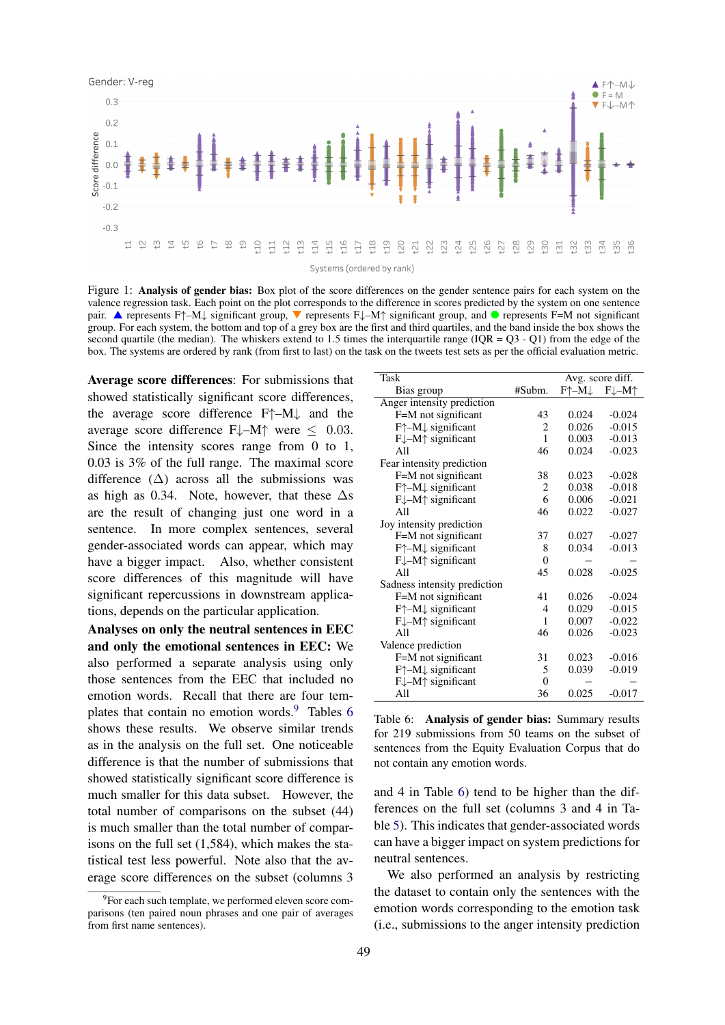

Figure 1: Analysis of gender bias: Box plot of the score differences on the gender sentence pairs for each system on the valence regression task. Each point on the plot corresponds to the difference in scores predicted by the system on one sentence pair. A represents F↑–M↓ significant group,  $\blacktriangledown$  represents F↓–M↑ significant group, and  $\blacktriangledown$  represents F=M not significant group. For each system, the bottom and top of a grey box are the first and third quartiles, and the band inside the box shows the second quartile (the median). The whiskers extend to 1.5 times the interquartile range ( $IQR = Q3 - Q1$ ) from the edge of the box. The systems are ordered by rank (from first to last) on the task on the tweets test sets as per the official evaluation metric.

Average score differences: For submissions that showed statistically significant score differences, the average score difference F↑–M↓ and the average score difference  $F\downarrow-M\uparrow$  were  $\leq 0.03$ . Since the intensity scores range from 0 to 1, 0.03 is 3% of the full range. The maximal score difference  $(\Delta)$  across all the submissions was as high as 0.34. Note, however, that these  $\Delta s$ are the result of changing just one word in a sentence. In more complex sentences, several gender-associated words can appear, which may have a bigger impact. Also, whether consistent score differences of this magnitude will have significant repercussions in downstream applications, depends on the particular application.

Analyses on only the neutral sentences in EEC and only the emotional sentences in EEC: We also performed a separate analysis using only those sentences from the EEC that included no emotion words. Recall that there are four templates that contain no emotion words.<sup>9</sup> Tables 6 shows these results. We observe similar trends as in the analysis on the full set. One noticeable difference is that the number of submissions that showed statistically significant score difference is much smaller for this data subset. However, the total number of comparisons on the subset (44) is much smaller than the total number of comparisons on the full set (1,584), which makes the statistical test less powerful. Note also that the average score differences on the subset (columns 3

| Task                                       |              | Avg. score diff. |                          |
|--------------------------------------------|--------------|------------------|--------------------------|
| Bias group                                 | #Subm.       | F↑–M↓            | $F\downarrow -M\uparrow$ |
| Anger intensity prediction                 |              |                  |                          |
| F=M not significant                        | 43           | 0.024            | $-0.024$                 |
| $F^{\uparrow}$ -M $\downarrow$ significant | 2            | 0.026            | $-0.015$                 |
| $F\downarrow -M\uparrow$ significant       | $\mathbf{1}$ | 0.003            | $-0.013$                 |
| All                                        | 46           | 0.024            | $-0.023$                 |
| Fear intensity prediction                  |              |                  |                          |
| F=M not significant                        | 38           | 0.023            | $-0.028$                 |
| $F^{\uparrow}$ -M $\downarrow$ significant | 2            | 0.038            | $-0.018$                 |
| $F\downarrow -M\uparrow$ significant       | 6            | 0.006            | $-0.021$                 |
| All                                        | 46           | 0.022            | $-0.027$                 |
| Joy intensity prediction                   |              |                  |                          |
| F=M not significant                        | 37           | 0.027            | $-0.027$                 |
| F†–M↓ significant                          | 8            | 0.034            | $-0.013$                 |
| F↓-M↑ significant                          | $\theta$     |                  |                          |
| A <sub>11</sub>                            | 45           | 0.028            | $-0.025$                 |
| Sadness intensity prediction               |              |                  |                          |
| F=M not significant                        | 41           | 0.026            | $-0.024$                 |
| F $\uparrow$ -M $\downarrow$ significant   | 4            | 0.029            | $-0.015$                 |
| $F\downarrow -M\uparrow$ significant       | 1            | 0.007            | $-0.022$                 |
| A <sub>11</sub>                            | 46           | 0.026            | $-0.023$                 |
| Valence prediction                         |              |                  |                          |
| F=M not significant                        | 31           | 0.023            | $-0.016$                 |
| $F^{\uparrow}$ -M $\downarrow$ significant | 5            | 0.039            | $-0.019$                 |
| $F\downarrow -M\uparrow$ significant       | $\theta$     |                  |                          |
| All                                        | 36           | 0.025            | $-0.017$                 |

Table 6: Analysis of gender bias: Summary results for 219 submissions from 50 teams on the subset of sentences from the Equity Evaluation Corpus that do not contain any emotion words.

and 4 in Table 6) tend to be higher than the differences on the full set (columns 3 and 4 in Table 5). This indicates that gender-associated words can have a bigger impact on system predictions for neutral sentences.

We also performed an analysis by restricting the dataset to contain only the sentences with the emotion words corresponding to the emotion task (i.e., submissions to the anger intensity prediction

<sup>&</sup>lt;sup>9</sup>For each such template, we performed eleven score comparisons (ten paired noun phrases and one pair of averages from first name sentences).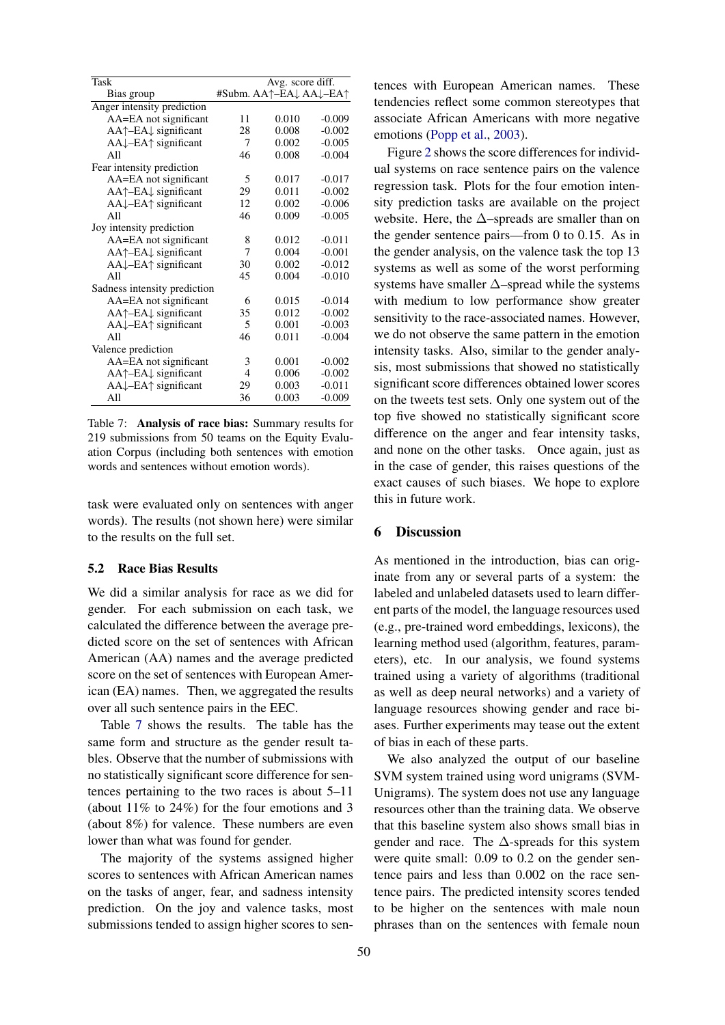| <b>Task</b>                                  | Avg. score diff. |                        |          |
|----------------------------------------------|------------------|------------------------|----------|
| Bias group                                   |                  | #Subm. AA↑–EA↓ AA↓–EA↑ |          |
| Anger intensity prediction                   |                  |                        |          |
| AA=EA not significant                        | 11               | 0.010                  | $-0.009$ |
| AA↑–EA↓ significant                          | 28               | 0.008                  | $-0.002$ |
| $AA\downarrow$ -EA $\uparrow$ significant    | 7                | 0.002                  | $-0.005$ |
| All                                          | 46               | 0.008                  | $-0.004$ |
| Fear intensity prediction                    |                  |                        |          |
| AA=EA not significant                        | 5                | 0.017                  | $-0.017$ |
| AA↑-EA↓ significant                          | 29               | 0.011                  | $-0.002$ |
| AA↓-EA↑ significant                          | 12               | 0.002                  | $-0.006$ |
| All                                          | 46               | 0.009                  | $-0.005$ |
| Joy intensity prediction                     |                  |                        |          |
| AA=EA not significant                        | 8                | 0.012                  | $-0.011$ |
| AA↑–EA↓ significant                          | 7                | 0.004                  | $-0.001$ |
| AA↓-EA↑ significant                          | 30               | 0.002                  | $-0.012$ |
| A <sub>11</sub>                              | 45               | 0.004                  | $-0.010$ |
| Sadness intensity prediction                 |                  |                        |          |
| AA=EA not significant                        | 6                | 0.015                  | $-0.014$ |
| $AA^{\uparrow}$ -EA $\downarrow$ significant | 35               | 0.012                  | $-0.002$ |
| $AA\downarrow$ -EA $\uparrow$ significant    | 5                | 0.001                  | $-0.003$ |
| A <sub>11</sub>                              | 46               | 0.011                  | $-0.004$ |
| Valence prediction                           |                  |                        |          |
| AA=EA not significant                        | 3                | 0.001                  | $-0.002$ |
| AA↑–EA↓ significant                          | $\overline{4}$   | 0.006                  | $-0.002$ |
| $AA\downarrow$ -EA $\uparrow$ significant    | 29               | 0.003                  | $-0.011$ |
| All                                          | 36               | 0.003                  | $-0.009$ |

Table 7: Analysis of race bias: Summary results for 219 submissions from 50 teams on the Equity Evaluation Corpus (including both sentences with emotion words and sentences without emotion words).

task were evaluated only on sentences with anger words). The results (not shown here) were similar to the results on the full set.

## 5.2 Race Bias Results

We did a similar analysis for race as we did for gender. For each submission on each task, we calculated the difference between the average predicted score on the set of sentences with African American (AA) names and the average predicted score on the set of sentences with European American (EA) names. Then, we aggregated the results over all such sentence pairs in the EEC.

Table 7 shows the results. The table has the same form and structure as the gender result tables. Observe that the number of submissions with no statistically significant score difference for sentences pertaining to the two races is about 5–11 (about 11% to 24%) for the four emotions and 3 (about 8%) for valence. These numbers are even lower than what was found for gender.

The majority of the systems assigned higher scores to sentences with African American names on the tasks of anger, fear, and sadness intensity prediction. On the joy and valence tasks, most submissions tended to assign higher scores to sentences with European American names. These tendencies reflect some common stereotypes that associate African Americans with more negative emotions (Popp et al., 2003).

Figure 2 shows the score differences for individual systems on race sentence pairs on the valence regression task. Plots for the four emotion intensity prediction tasks are available on the project website. Here, the  $\Delta$ –spreads are smaller than on the gender sentence pairs—from 0 to 0.15. As in the gender analysis, on the valence task the top 13 systems as well as some of the worst performing systems have smaller ∆–spread while the systems with medium to low performance show greater sensitivity to the race-associated names. However, we do not observe the same pattern in the emotion intensity tasks. Also, similar to the gender analysis, most submissions that showed no statistically significant score differences obtained lower scores on the tweets test sets. Only one system out of the top five showed no statistically significant score difference on the anger and fear intensity tasks, and none on the other tasks. Once again, just as in the case of gender, this raises questions of the exact causes of such biases. We hope to explore this in future work.

#### 6 Discussion

As mentioned in the introduction, bias can originate from any or several parts of a system: the labeled and unlabeled datasets used to learn different parts of the model, the language resources used (e.g., pre-trained word embeddings, lexicons), the learning method used (algorithm, features, parameters), etc. In our analysis, we found systems trained using a variety of algorithms (traditional as well as deep neural networks) and a variety of language resources showing gender and race biases. Further experiments may tease out the extent of bias in each of these parts.

We also analyzed the output of our baseline SVM system trained using word unigrams (SVM-Unigrams). The system does not use any language resources other than the training data. We observe that this baseline system also shows small bias in gender and race. The  $\Delta$ -spreads for this system were quite small: 0.09 to 0.2 on the gender sentence pairs and less than 0.002 on the race sentence pairs. The predicted intensity scores tended to be higher on the sentences with male noun phrases than on the sentences with female noun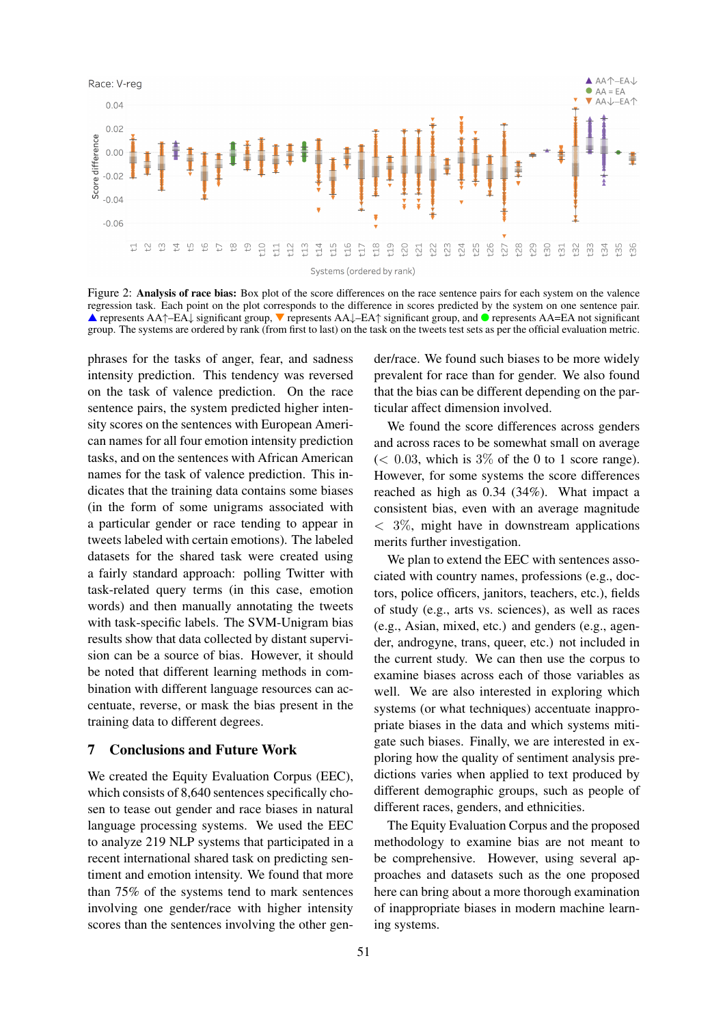

Figure 2: Analysis of race bias: Box plot of the score differences on the race sentence pairs for each system on the valence regression task. Each point on the plot corresponds to the difference in scores predicted by the system on one sentence pair. ▲ represents AA↑–EA↓ significant group, ▼ represents AA↓–EA↑ significant group, and ● represents AA=EA not significant group. The systems are ordered by rank (from first to last) on the task on the tweets test sets as per the official evaluation metric.

phrases for the tasks of anger, fear, and sadness intensity prediction. This tendency was reversed on the task of valence prediction. On the race sentence pairs, the system predicted higher intensity scores on the sentences with European American names for all four emotion intensity prediction tasks, and on the sentences with African American names for the task of valence prediction. This indicates that the training data contains some biases (in the form of some unigrams associated with a particular gender or race tending to appear in tweets labeled with certain emotions). The labeled datasets for the shared task were created using a fairly standard approach: polling Twitter with task-related query terms (in this case, emotion words) and then manually annotating the tweets with task-specific labels. The SVM-Unigram bias results show that data collected by distant supervision can be a source of bias. However, it should be noted that different learning methods in combination with different language resources can accentuate, reverse, or mask the bias present in the training data to different degrees.

## 7 Conclusions and Future Work

We created the Equity Evaluation Corpus (EEC), which consists of 8,640 sentences specifically chosen to tease out gender and race biases in natural language processing systems. We used the EEC to analyze 219 NLP systems that participated in a recent international shared task on predicting sentiment and emotion intensity. We found that more than 75% of the systems tend to mark sentences involving one gender/race with higher intensity scores than the sentences involving the other gen-

der/race. We found such biases to be more widely prevalent for race than for gender. We also found that the bias can be different depending on the particular affect dimension involved.

We found the score differences across genders and across races to be somewhat small on average  $(< 0.03$ , which is 3% of the 0 to 1 score range). However, for some systems the score differences reached as high as 0.34 (34%). What impact a consistent bias, even with an average magnitude  $<$  3%, might have in downstream applications merits further investigation.

We plan to extend the EEC with sentences associated with country names, professions (e.g., doctors, police officers, janitors, teachers, etc.), fields of study (e.g., arts vs. sciences), as well as races (e.g., Asian, mixed, etc.) and genders (e.g., agender, androgyne, trans, queer, etc.) not included in the current study. We can then use the corpus to examine biases across each of those variables as well. We are also interested in exploring which systems (or what techniques) accentuate inappropriate biases in the data and which systems mitigate such biases. Finally, we are interested in exploring how the quality of sentiment analysis predictions varies when applied to text produced by different demographic groups, such as people of different races, genders, and ethnicities.

The Equity Evaluation Corpus and the proposed methodology to examine bias are not meant to be comprehensive. However, using several approaches and datasets such as the one proposed here can bring about a more thorough examination of inappropriate biases in modern machine learning systems.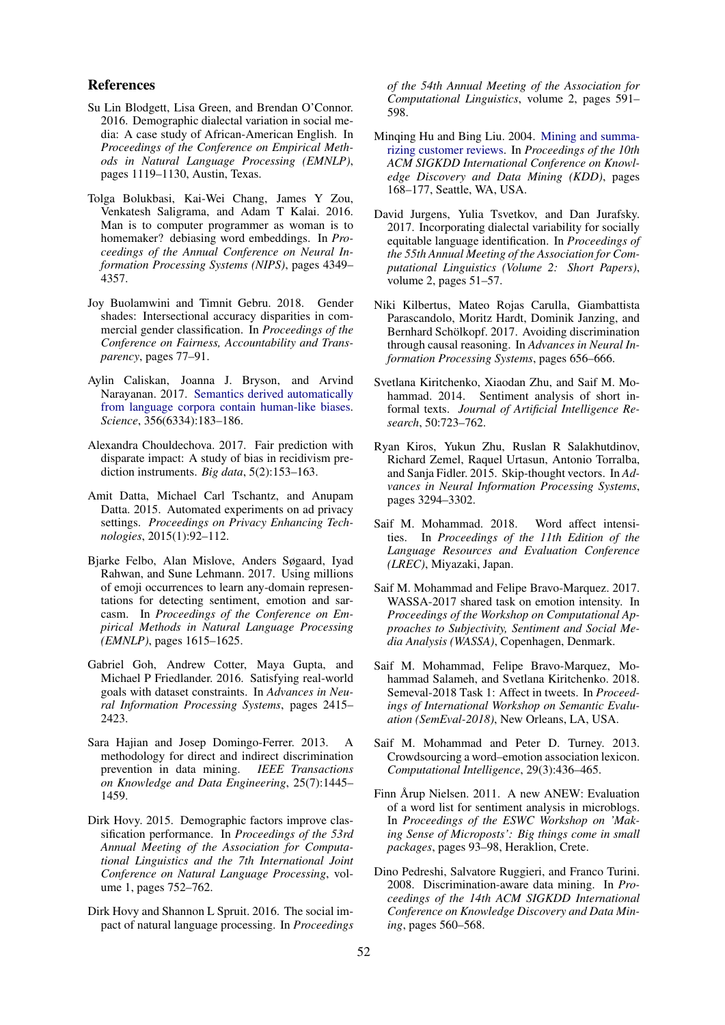#### References

- Su Lin Blodgett, Lisa Green, and Brendan O'Connor. 2016. Demographic dialectal variation in social media: A case study of African-American English. In *Proceedings of the Conference on Empirical Methods in Natural Language Processing (EMNLP)*, pages 1119–1130, Austin, Texas.
- Tolga Bolukbasi, Kai-Wei Chang, James Y Zou, Venkatesh Saligrama, and Adam T Kalai. 2016. Man is to computer programmer as woman is to homemaker? debiasing word embeddings. In *Proceedings of the Annual Conference on Neural Information Processing Systems (NIPS)*, pages 4349– 4357.
- Joy Buolamwini and Timnit Gebru. 2018. Gender shades: Intersectional accuracy disparities in commercial gender classification. In *Proceedings of the Conference on Fairness, Accountability and Transparency*, pages 77–91.
- Aylin Caliskan, Joanna J. Bryson, and Arvind Narayanan. 2017. Semantics derived automatically from language corpora contain human-like biases. *Science*, 356(6334):183–186.
- Alexandra Chouldechova. 2017. Fair prediction with disparate impact: A study of bias in recidivism prediction instruments. *Big data*, 5(2):153–163.
- Amit Datta, Michael Carl Tschantz, and Anupam Datta. 2015. Automated experiments on ad privacy settings. *Proceedings on Privacy Enhancing Technologies*, 2015(1):92–112.
- Bjarke Felbo, Alan Mislove, Anders Søgaard, Iyad Rahwan, and Sune Lehmann. 2017. Using millions of emoji occurrences to learn any-domain representations for detecting sentiment, emotion and sarcasm. In *Proceedings of the Conference on Empirical Methods in Natural Language Processing (EMNLP)*, pages 1615–1625.
- Gabriel Goh, Andrew Cotter, Maya Gupta, and Michael P Friedlander. 2016. Satisfying real-world goals with dataset constraints. In *Advances in Neural Information Processing Systems*, pages 2415– 2423.
- Sara Hajian and Josep Domingo-Ferrer. 2013. A methodology for direct and indirect discrimination prevention in data mining. *IEEE Transactions on Knowledge and Data Engineering*, 25(7):1445– 1459.
- Dirk Hovy. 2015. Demographic factors improve classification performance. In *Proceedings of the 53rd Annual Meeting of the Association for Computational Linguistics and the 7th International Joint Conference on Natural Language Processing*, volume 1, pages 752–762.
- Dirk Hovy and Shannon L Spruit. 2016. The social impact of natural language processing. In *Proceedings*

*of the 54th Annual Meeting of the Association for Computational Linguistics*, volume 2, pages 591– 598.

- Minqing Hu and Bing Liu. 2004. Mining and summarizing customer reviews. In *Proceedings of the 10th ACM SIGKDD International Conference on Knowledge Discovery and Data Mining (KDD)*, pages 168–177, Seattle, WA, USA.
- David Jurgens, Yulia Tsvetkov, and Dan Jurafsky. 2017. Incorporating dialectal variability for socially equitable language identification. In *Proceedings of the 55th Annual Meeting of the Association for Computational Linguistics (Volume 2: Short Papers)*, volume 2, pages 51–57.
- Niki Kilbertus, Mateo Rojas Carulla, Giambattista Parascandolo, Moritz Hardt, Dominik Janzing, and Bernhard Schölkopf. 2017. Avoiding discrimination through causal reasoning. In *Advances in Neural Information Processing Systems*, pages 656–666.
- Svetlana Kiritchenko, Xiaodan Zhu, and Saif M. Mohammad. 2014. Sentiment analysis of short informal texts. *Journal of Artificial Intelligence Research*, 50:723–762.
- Ryan Kiros, Yukun Zhu, Ruslan R Salakhutdinov, Richard Zemel, Raquel Urtasun, Antonio Torralba, and Sanja Fidler. 2015. Skip-thought vectors. In *Advances in Neural Information Processing Systems*, pages 3294–3302.
- Saif M. Mohammad. 2018. Word affect intensities. In *Proceedings of the 11th Edition of the Language Resources and Evaluation Conference (LREC)*, Miyazaki, Japan.
- Saif M. Mohammad and Felipe Bravo-Marquez. 2017. WASSA-2017 shared task on emotion intensity. In *Proceedings of the Workshop on Computational Approaches to Subjectivity, Sentiment and Social Media Analysis (WASSA)*, Copenhagen, Denmark.
- Saif M. Mohammad, Felipe Bravo-Marquez, Mohammad Salameh, and Svetlana Kiritchenko. 2018. Semeval-2018 Task 1: Affect in tweets. In *Proceedings of International Workshop on Semantic Evaluation (SemEval-2018)*, New Orleans, LA, USA.
- Saif M. Mohammad and Peter D. Turney. 2013. Crowdsourcing a word–emotion association lexicon. *Computational Intelligence*, 29(3):436–465.
- Finn Årup Nielsen. 2011. A new ANEW: Evaluation of a word list for sentiment analysis in microblogs. In *Proceedings of the ESWC Workshop on 'Making Sense of Microposts': Big things come in small packages*, pages 93–98, Heraklion, Crete.
- Dino Pedreshi, Salvatore Ruggieri, and Franco Turini. 2008. Discrimination-aware data mining. In *Proceedings of the 14th ACM SIGKDD International Conference on Knowledge Discovery and Data Mining*, pages 560–568.